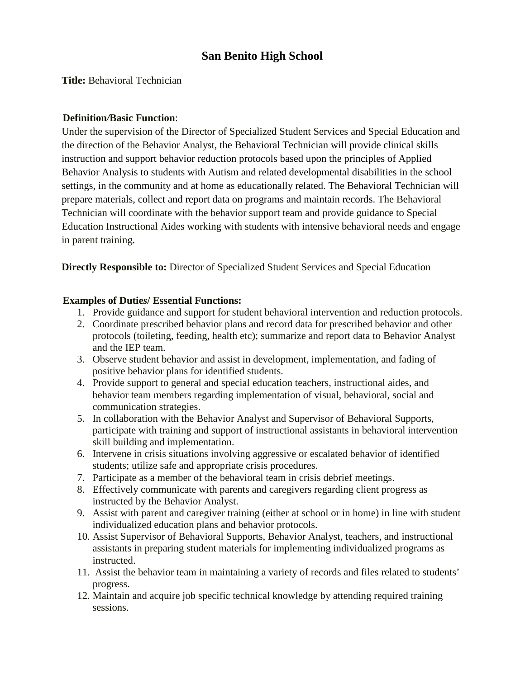# **San Benito High School**

**Title:** Behavioral Technician

### **Definition***/***Basic Function**:

Under the supervision of the Director of Specialized Student Services and Special Education and the direction of the Behavior Analyst, the Behavioral Technician will provide clinical skills instruction and support behavior reduction protocols based upon the principles of Applied Behavior Analysis to students with Autism and related developmental disabilities in the school settings, in the community and at home as educationally related. The Behavioral Technician will prepare materials, collect and report data on programs and maintain records. The Behavioral Technician will coordinate with the behavior support team and provide guidance to Special Education Instructional Aides working with students with intensive behavioral needs and engage in parent training.

**Directly Responsible to:** Director of Specialized Student Services and Special Education

#### **Examples of Dutie***s***/ Essential Functions:**

- 1. Provide guidance and support for student behavioral intervention and reduction protocols.
- 2. Coordinate prescribed behavior plans and record data for prescribed behavior and other protocols (toileting, feeding, health etc); summarize and report data to Behavior Analyst and the IEP team.
- 3. Observe student behavior and assist in development, implementation, and fading of positive behavior plans for identified students.
- 4. Provide support to general and special education teachers, instructional aides, and behavior team members regarding implementation of visual, behavioral, social and communication strategies.
- 5. In collaboration with the Behavior Analyst and Supervisor of Behavioral Supports, participate with training and support of instructional assistants in behavioral intervention skill building and implementation.
- 6. Intervene in crisis situations involving aggressive or escalated behavior of identified students; utilize safe and appropriate crisis procedures.
- 7. Participate as a member of the behavioral team in crisis debrief meetings.
- 8. Effectively communicate with parents and caregivers regarding client progress as instructed by the Behavior Analyst.
- 9. Assist with parent and caregiver training (either at school or in home) in line with student individualized education plans and behavior protocols.
- 10. Assist Supervisor of Behavioral Supports, Behavior Analyst, teachers, and instructional assistants in preparing student materials for implementing individualized programs as instructed.
- 11. Assist the behavior team in maintaining a variety of records and files related to students' progress.
- 12. Maintain and acquire job specific technical knowledge by attending required training sessions.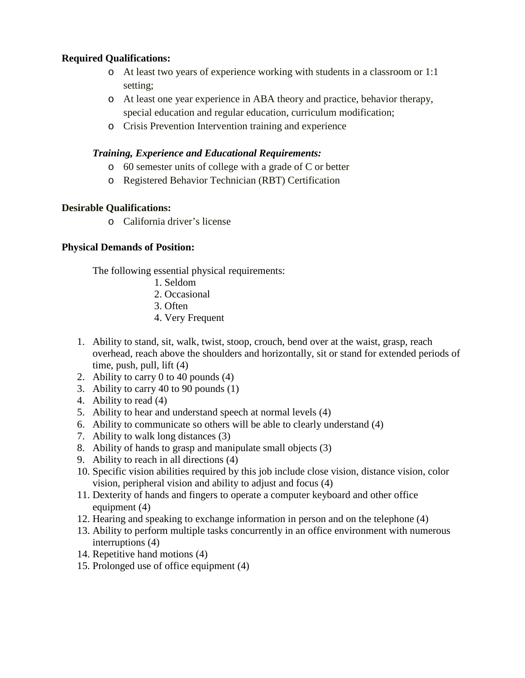### **Required Qualifications:**

- o At least two years of experience working with students in a classroom or 1:1 setting;
- o At least one year experience in ABA theory and practice, behavior therapy, special education and regular education, curriculum modification;
- o Crisis Prevention Intervention training and experience

### *Training, Experience and Educational Requirements:*

- o 60 semester units of college with a grade of C or better
- o Registered Behavior Technician (RBT) Certification

## **Desirable Qualifications:**

o California driver's license

## **Physical Demands of Position:**

The following essential physical requirements:

- 1. Seldom
- 2. Occasional
- 3. Often
- 4. Very Frequent
- 1. Ability to stand, sit, walk, twist, stoop, crouch, bend over at the waist, grasp, reach overhead, reach above the shoulders and horizontally, sit or stand for extended periods of time, push, pull, lift  $(4)$
- 2. Ability to carry 0 to 40 pounds (4)
- 3. Ability to carry 40 to 90 pounds (1)
- 4. Ability to read (4)
- 5. Ability to hear and understand speech at normal levels (4)
- 6. Ability to communicate so others will be able to clearly understand (4)
- 7. Ability to walk long distances (3)
- 8. Ability of hands to grasp and manipulate small objects (3)
- 9. Ability to reach in all directions (4)
- 10. Specific vision abilities required by this job include close vision, distance vision, color vision, peripheral vision and ability to adjust and focus (4)
- 11. Dexterity of hands and fingers to operate a computer keyboard and other office equipment (4)
- 12. Hearing and speaking to exchange information in person and on the telephone (4)
- 13. Ability to perform multiple tasks concurrently in an office environment with numerous interruptions (4)
- 14. Repetitive hand motions (4)
- 15. Prolonged use of office equipment (4)